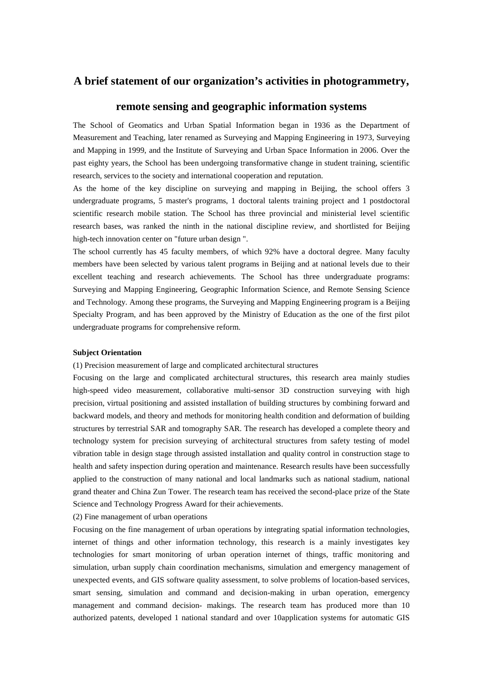## **A brief statement of our organization's activities in photogrammetry,**

## **remote sensing and geographic information systems**

The School of Geomatics and Urban Spatial Information began in 1936 as the Department of Measurement and Teaching, later renamed as Surveying and Mapping Engineering in 1973, Surveying and Mapping in 1999, and the Institute of Surveying and Urban Space Information in 2006. Over the past eighty years, the School has been undergoing transformative change in student training, scientific research, services to the society and international cooperation and reputation.

As the home of the key discipline on surveying and mapping in Beijing, the school offers 3 undergraduate programs, 5 master's programs, 1 doctoral talents training project and 1 postdoctoral scientific research mobile station. The School has three provincial and ministerial level scientific research bases, was ranked the ninth in the national discipline review, and shortlisted for Beijing high-tech innovation center on "future urban design ".

The school currently has 45 faculty members, of which 92% have a doctoral degree. Many faculty members have been selected by various talent programs in Beijing and at national levels due to their excellent teaching and research achievements. The School has three undergraduate programs: Surveying and Mapping Engineering, Geographic Information Science, and Remote Sensing Science and Technology. Among these programs, the Surveying and Mapping Engineering program is a Beijing Specialty Program, and has been approved by the Ministry of Education as the one of the first pilot undergraduate programs for comprehensive reform.

## **Subject Orientation**

(1) Precision measurement of large and complicated architectural structures

Focusing on the large and complicated architectural structures, this research area mainly studies high-speed video measurement, collaborative multi-sensor 3D construction surveying with high precision, virtual positioning and assisted installation of building structures by combining forward and backward models, and theory and methods for monitoring health condition and deformation of building structures by terrestrial SAR and tomography SAR. The research has developed a complete theory and technology system for precision surveying of architectural structures from safety testing of model vibration table in design stage through assisted installation and quality control in construction stage to health and safety inspection during operation and maintenance. Research results have been successfully applied to the construction of many national and local landmarks such as national stadium, national grand theater and China Zun Tower. The research team has received the second-place prize of the State Science and Technology Progress Award for their achievements.

(2) Fine management of urban operations

Focusing on the fine management of urban operations by integrating spatial information technologies, internet of things and other information technology, this research is a mainly investigates key technologies for smart monitoring of urban operation internet of things, traffic monitoring and simulation, urban supply chain coordination mechanisms, simulation and emergency management of unexpected events, and GIS software quality assessment, to solve problems of location-based services, smart sensing, simulation and command and decision-making in urban operation, emergency management and command decision- makings. The research team has produced more than 10 authorized patents, developed 1 national standard and over 10application systems for automatic GIS